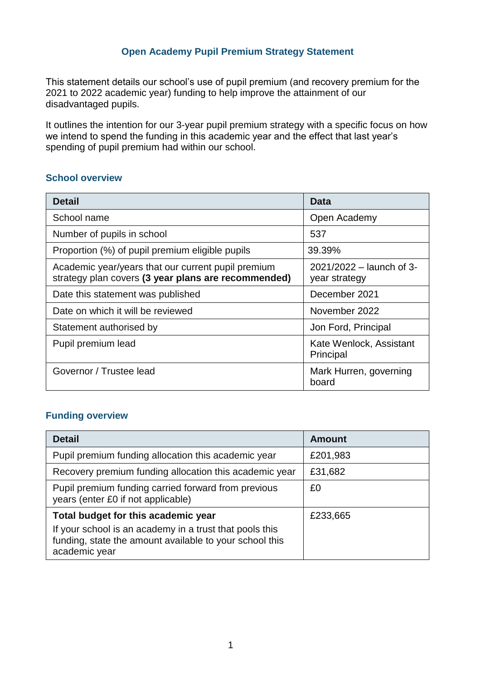### **Open Academy Pupil Premium Strategy Statement**

This statement details our school's use of pupil premium (and recovery premium for the 2021 to 2022 academic year) funding to help improve the attainment of our disadvantaged pupils.

It outlines the intention for our 3-year pupil premium strategy with a specific focus on how we intend to spend the funding in this academic year and the effect that last year's spending of pupil premium had within our school.

#### **School overview**

| <b>Detail</b>                                                                                             | <b>Data</b>                               |
|-----------------------------------------------------------------------------------------------------------|-------------------------------------------|
| School name                                                                                               | Open Academy                              |
| Number of pupils in school                                                                                | 537                                       |
| Proportion (%) of pupil premium eligible pupils                                                           | 39.39%                                    |
| Academic year/years that our current pupil premium<br>strategy plan covers (3 year plans are recommended) | 2021/2022 – launch of 3-<br>year strategy |
| Date this statement was published                                                                         | December 2021                             |
| Date on which it will be reviewed                                                                         | November 2022                             |
| Statement authorised by                                                                                   | Jon Ford, Principal                       |
| Pupil premium lead                                                                                        | Kate Wenlock, Assistant<br>Principal      |
| Governor / Trustee lead                                                                                   | Mark Hurren, governing<br>board           |

#### **Funding overview**

| <b>Detail</b>                                                                                                                       | <b>Amount</b> |
|-------------------------------------------------------------------------------------------------------------------------------------|---------------|
| Pupil premium funding allocation this academic year                                                                                 | £201,983      |
| Recovery premium funding allocation this academic year                                                                              | £31,682       |
| Pupil premium funding carried forward from previous<br>years (enter £0 if not applicable)                                           | £0            |
| Total budget for this academic year                                                                                                 | £233,665      |
| If your school is an academy in a trust that pools this<br>funding, state the amount available to your school this<br>academic year |               |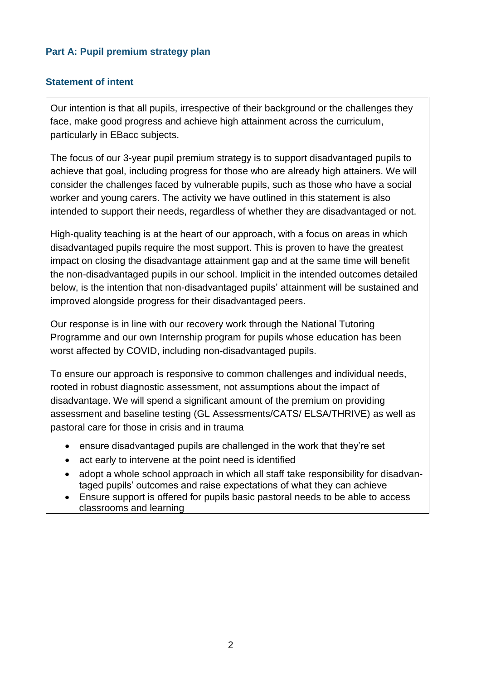## **Part A: Pupil premium strategy plan**

### **Statement of intent**

Our intention is that all pupils, irrespective of their background or the challenges they face, make good progress and achieve high attainment across the curriculum, particularly in EBacc subjects.

The focus of our 3-year pupil premium strategy is to support disadvantaged pupils to achieve that goal, including progress for those who are already high attainers. We will consider the challenges faced by vulnerable pupils, such as those who have a social worker and young carers. The activity we have outlined in this statement is also intended to support their needs, regardless of whether they are disadvantaged or not.

High-quality teaching is at the heart of our approach, with a focus on areas in which disadvantaged pupils require the most support. This is proven to have the greatest impact on closing the disadvantage attainment gap and at the same time will benefit the non-disadvantaged pupils in our school. Implicit in the intended outcomes detailed below, is the intention that non-disadvantaged pupils' attainment will be sustained and improved alongside progress for their disadvantaged peers.

Our response is in line with our recovery work through the National Tutoring Programme and our own Internship program for pupils whose education has been worst affected by COVID, including non-disadvantaged pupils.

To ensure our approach is responsive to common challenges and individual needs, rooted in robust diagnostic assessment, not assumptions about the impact of disadvantage. We will spend a significant amount of the premium on providing assessment and baseline testing (GL Assessments/CATS/ ELSA/THRIVE) as well as pastoral care for those in crisis and in trauma

- ensure disadvantaged pupils are challenged in the work that they're set
- act early to intervene at the point need is identified
- adopt a whole school approach in which all staff take responsibility for disadvantaged pupils' outcomes and raise expectations of what they can achieve
- Ensure support is offered for pupils basic pastoral needs to be able to access classrooms and learning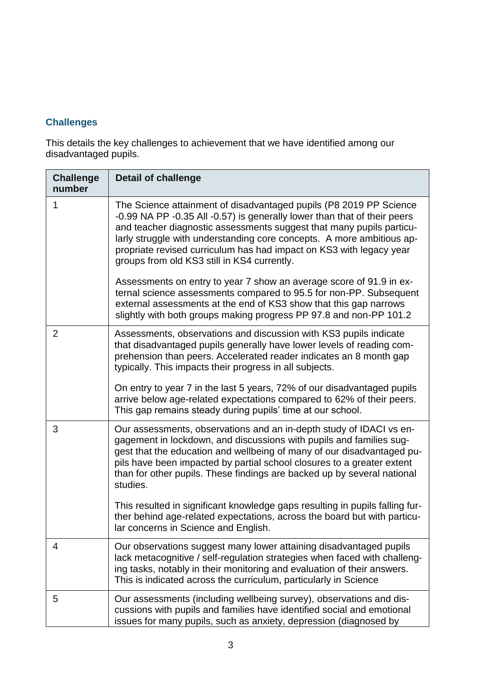## **Challenges**

This details the key challenges to achievement that we have identified among our disadvantaged pupils.

| <b>Challenge</b><br>number | <b>Detail of challenge</b>                                                                                                                                                                                                                                                                                                                                                                                            |
|----------------------------|-----------------------------------------------------------------------------------------------------------------------------------------------------------------------------------------------------------------------------------------------------------------------------------------------------------------------------------------------------------------------------------------------------------------------|
| 1                          | The Science attainment of disadvantaged pupils (P8 2019 PP Science<br>-0.99 NA PP -0.35 All -0.57) is generally lower than that of their peers<br>and teacher diagnostic assessments suggest that many pupils particu-<br>larly struggle with understanding core concepts. A more ambitious ap-<br>propriate revised curriculum has had impact on KS3 with legacy year<br>groups from old KS3 still in KS4 currently. |
|                            | Assessments on entry to year 7 show an average score of 91.9 in ex-<br>ternal science assessments compared to 95.5 for non-PP. Subsequent<br>external assessments at the end of KS3 show that this gap narrows<br>slightly with both groups making progress PP 97.8 and non-PP 101.2                                                                                                                                  |
| $\overline{2}$             | Assessments, observations and discussion with KS3 pupils indicate<br>that disadvantaged pupils generally have lower levels of reading com-<br>prehension than peers. Accelerated reader indicates an 8 month gap<br>typically. This impacts their progress in all subjects.                                                                                                                                           |
|                            | On entry to year 7 in the last 5 years, 72% of our disadvantaged pupils<br>arrive below age-related expectations compared to 62% of their peers.<br>This gap remains steady during pupils' time at our school.                                                                                                                                                                                                        |
| 3                          | Our assessments, observations and an in-depth study of IDACI vs en-<br>gagement in lockdown, and discussions with pupils and families sug-<br>gest that the education and wellbeing of many of our disadvantaged pu-<br>pils have been impacted by partial school closures to a greater extent<br>than for other pupils. These findings are backed up by several national<br>studies.                                 |
|                            | This resulted in significant knowledge gaps resulting in pupils falling fur-<br>ther behind age-related expectations, across the board but with particu-<br>lar concerns in Science and English.                                                                                                                                                                                                                      |
| 4                          | Our observations suggest many lower attaining disadvantaged pupils<br>lack metacognitive / self-regulation strategies when faced with challeng-<br>ing tasks, notably in their monitoring and evaluation of their answers.<br>This is indicated across the curriculum, particularly in Science                                                                                                                        |
| 5                          | Our assessments (including wellbeing survey), observations and dis-<br>cussions with pupils and families have identified social and emotional<br>issues for many pupils, such as anxiety, depression (diagnosed by                                                                                                                                                                                                    |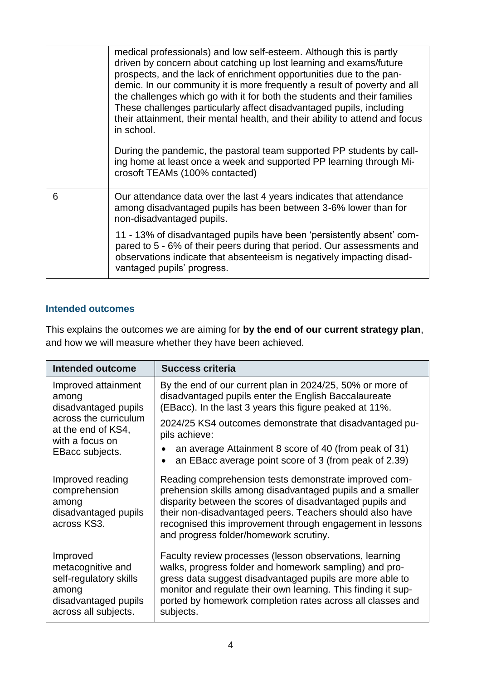|   | medical professionals) and low self-esteem. Although this is partly<br>driven by concern about catching up lost learning and exams/future<br>prospects, and the lack of enrichment opportunities due to the pan-<br>demic. In our community it is more frequently a result of poverty and all<br>the challenges which go with it for both the students and their families<br>These challenges particularly affect disadvantaged pupils, including<br>their attainment, their mental health, and their ability to attend and focus<br>in school. |
|---|-------------------------------------------------------------------------------------------------------------------------------------------------------------------------------------------------------------------------------------------------------------------------------------------------------------------------------------------------------------------------------------------------------------------------------------------------------------------------------------------------------------------------------------------------|
|   | During the pandemic, the pastoral team supported PP students by call-<br>ing home at least once a week and supported PP learning through Mi-<br>crosoft TEAMs (100% contacted)                                                                                                                                                                                                                                                                                                                                                                  |
| 6 | Our attendance data over the last 4 years indicates that attendance<br>among disadvantaged pupils has been between 3-6% lower than for<br>non-disadvantaged pupils.                                                                                                                                                                                                                                                                                                                                                                             |
|   | 11 - 13% of disadvantaged pupils have been 'persistently absent' com-<br>pared to 5 - 6% of their peers during that period. Our assessments and<br>observations indicate that absenteeism is negatively impacting disad-<br>vantaged pupils' progress.                                                                                                                                                                                                                                                                                          |

### **Intended outcomes**

This explains the outcomes we are aiming for **by the end of our current strategy plan**, and how we will measure whether they have been achieved.

| <b>Intended outcome</b>                                                                                                                   | <b>Success criteria</b>                                                                                                                                                                                                                                                                                                                            |
|-------------------------------------------------------------------------------------------------------------------------------------------|----------------------------------------------------------------------------------------------------------------------------------------------------------------------------------------------------------------------------------------------------------------------------------------------------------------------------------------------------|
| Improved attainment<br>among<br>disadvantaged pupils<br>across the curriculum<br>at the end of KS4,<br>with a focus on<br>EBacc subjects. | By the end of our current plan in 2024/25, 50% or more of<br>disadvantaged pupils enter the English Baccalaureate<br>(EBacc). In the last 3 years this figure peaked at 11%.                                                                                                                                                                       |
|                                                                                                                                           | 2024/25 KS4 outcomes demonstrate that disadvantaged pu-<br>pils achieve:                                                                                                                                                                                                                                                                           |
|                                                                                                                                           | an average Attainment 8 score of 40 (from peak of 31)<br>an EBacc average point score of 3 (from peak of 2.39)                                                                                                                                                                                                                                     |
| Improved reading<br>comprehension<br>among<br>disadvantaged pupils<br>across KS3.                                                         | Reading comprehension tests demonstrate improved com-<br>prehension skills among disadvantaged pupils and a smaller<br>disparity between the scores of disadvantaged pupils and<br>their non-disadvantaged peers. Teachers should also have<br>recognised this improvement through engagement in lessons<br>and progress folder/homework scrutiny. |
| Improved<br>metacognitive and<br>self-regulatory skills<br>among<br>disadvantaged pupils<br>across all subjects.                          | Faculty review processes (lesson observations, learning<br>walks, progress folder and homework sampling) and pro-<br>gress data suggest disadvantaged pupils are more able to<br>monitor and regulate their own learning. This finding it sup-<br>ported by homework completion rates across all classes and<br>subjects.                          |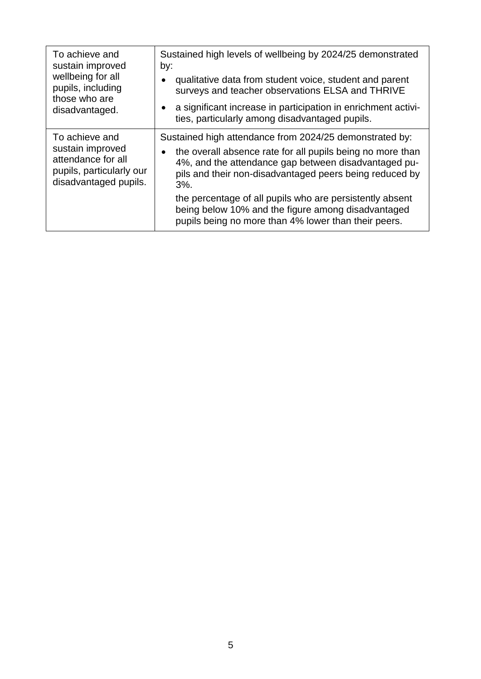| To achieve and<br>sustain improved<br>wellbeing for all<br>pupils, including<br>those who are<br>disadvantaged. | Sustained high levels of wellbeing by 2024/25 demonstrated<br>by:<br>qualitative data from student voice, student and parent<br>surveys and teacher observations ELSA and THRIVE<br>a significant increase in participation in enrichment activi-<br>ties, particularly among disadvantaged pupils.                                                                                                                          |
|-----------------------------------------------------------------------------------------------------------------|------------------------------------------------------------------------------------------------------------------------------------------------------------------------------------------------------------------------------------------------------------------------------------------------------------------------------------------------------------------------------------------------------------------------------|
| To achieve and<br>sustain improved<br>attendance for all<br>pupils, particularly our<br>disadvantaged pupils.   | Sustained high attendance from 2024/25 demonstrated by:<br>the overall absence rate for all pupils being no more than<br>4%, and the attendance gap between disadvantaged pu-<br>pils and their non-disadvantaged peers being reduced by<br>$3%$ .<br>the percentage of all pupils who are persistently absent<br>being below 10% and the figure among disadvantaged<br>pupils being no more than 4% lower than their peers. |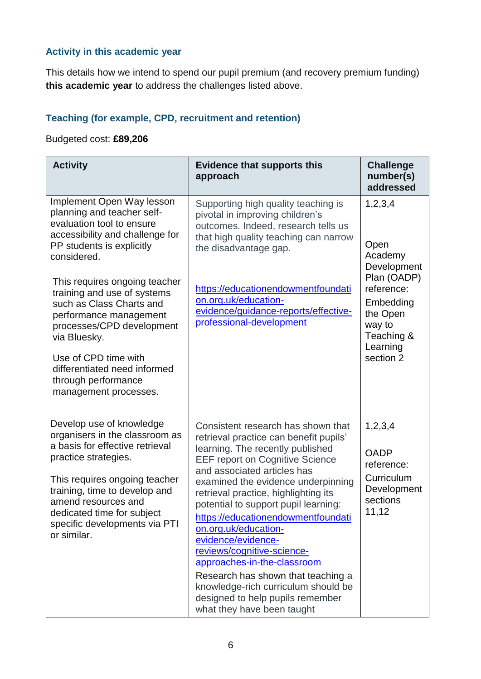## **Activity in this academic year**

This details how we intend to spend our pupil premium (and recovery premium funding) **this academic year** to address the challenges listed above.

## **Teaching (for example, CPD, recruitment and retention)**

## Budgeted cost: **£89,206**

| <b>Activity</b>                                                                                                                                                                                                                                                                                                                                                                                                                                | <b>Evidence that supports this</b><br>approach                                                                                                                                                                                                                                                                                                                                                                                                                                                                                                                                                                  | <b>Challenge</b><br>number(s)<br>addressed                                                                                                       |
|------------------------------------------------------------------------------------------------------------------------------------------------------------------------------------------------------------------------------------------------------------------------------------------------------------------------------------------------------------------------------------------------------------------------------------------------|-----------------------------------------------------------------------------------------------------------------------------------------------------------------------------------------------------------------------------------------------------------------------------------------------------------------------------------------------------------------------------------------------------------------------------------------------------------------------------------------------------------------------------------------------------------------------------------------------------------------|--------------------------------------------------------------------------------------------------------------------------------------------------|
| Implement Open Way lesson<br>planning and teacher self-<br>evaluation tool to ensure<br>accessibility and challenge for<br>PP students is explicitly<br>considered.<br>This requires ongoing teacher<br>training and use of systems<br>such as Class Charts and<br>performance management<br>processes/CPD development<br>via Bluesky.<br>Use of CPD time with<br>differentiated need informed<br>through performance<br>management processes. | Supporting high quality teaching is<br>pivotal in improving children's<br>outcomes. Indeed, research tells us<br>that high quality teaching can narrow<br>the disadvantage gap.<br>https://educationendowmentfoundati<br>on.org.uk/education-<br>evidence/guidance-reports/effective-<br>professional-development                                                                                                                                                                                                                                                                                               | 1,2,3,4<br>Open<br>Academy<br>Development<br>Plan (OADP)<br>reference:<br>Embedding<br>the Open<br>way to<br>Teaching &<br>Learning<br>section 2 |
| Develop use of knowledge<br>organisers in the classroom as<br>a basis for effective retrieval<br>practice strategies.<br>This requires ongoing teacher<br>training, time to develop and<br>amend resources and<br>dedicated time for subject<br>specific developments via PTI<br>or similar.                                                                                                                                                   | Consistent research has shown that<br>retrieval practice can benefit pupils'<br>learning. The recently published<br><b>EEF report on Cognitive Science</b><br>and associated articles has<br>examined the evidence underpinning<br>retrieval practice, highlighting its<br>potential to support pupil learning:<br>https://educationendowmentfoundati<br>on.org.uk/education-<br>evidence/evidence-<br>reviews/cognitive-science-<br>approaches-in-the-classroom<br>Research has shown that teaching a<br>knowledge-rich curriculum should be<br>designed to help pupils remember<br>what they have been taught | 1, 2, 3, 4<br><b>OADP</b><br>reference:<br>Curriculum<br>Development<br>sections<br>11,12                                                        |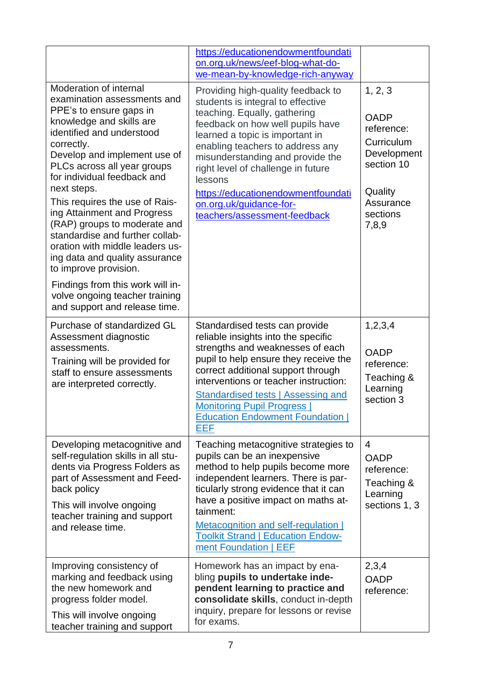|                                                                                                                                                                                                                                                                                                                                                                                                                                                                                                        | https://educationendowmentfoundati<br>on.org.uk/news/eef-blog-what-do-<br>we-mean-by-knowledge-rich-anyway                                                                                                                                                                                                                                                                                               |                                                                                                                              |
|--------------------------------------------------------------------------------------------------------------------------------------------------------------------------------------------------------------------------------------------------------------------------------------------------------------------------------------------------------------------------------------------------------------------------------------------------------------------------------------------------------|----------------------------------------------------------------------------------------------------------------------------------------------------------------------------------------------------------------------------------------------------------------------------------------------------------------------------------------------------------------------------------------------------------|------------------------------------------------------------------------------------------------------------------------------|
| Moderation of internal<br>examination assessments and<br>PPE's to ensure gaps in<br>knowledge and skills are<br>identified and understood<br>correctly.<br>Develop and implement use of<br>PLCs across all year groups<br>for individual feedback and<br>next steps.<br>This requires the use of Rais-<br>ing Attainment and Progress<br>(RAP) groups to moderate and<br>standardise and further collab-<br>oration with middle leaders us-<br>ing data and quality assurance<br>to improve provision. | Providing high-quality feedback to<br>students is integral to effective<br>teaching. Equally, gathering<br>feedback on how well pupils have<br>learned a topic is important in<br>enabling teachers to address any<br>misunderstanding and provide the<br>right level of challenge in future<br>lessons<br>https://educationendowmentfoundati<br>on.org.uk/guidance-for-<br>teachers/assessment-feedback | 1, 2, 3<br><b>OADP</b><br>reference:<br>Curriculum<br>Development<br>section 10<br>Quality<br>Assurance<br>sections<br>7,8,9 |
| Findings from this work will in-<br>volve ongoing teacher training<br>and support and release time.                                                                                                                                                                                                                                                                                                                                                                                                    |                                                                                                                                                                                                                                                                                                                                                                                                          |                                                                                                                              |
| Purchase of standardized GL<br>Assessment diagnostic<br>assessments.<br>Training will be provided for<br>staff to ensure assessments<br>are interpreted correctly.                                                                                                                                                                                                                                                                                                                                     | Standardised tests can provide<br>reliable insights into the specific<br>strengths and weaknesses of each<br>pupil to help ensure they receive the<br>correct additional support through<br>interventions or teacher instruction:<br>Standardised tests   Assessing and<br><b>Monitoring Pupil Progress  </b><br><b>Education Endowment Foundation  </b><br>EEF                                          | 1,2,3,4<br><b>OADP</b><br>reference:<br>Teaching &<br>Learning<br>section 3                                                  |
| Developing metacognitive and<br>self-regulation skills in all stu-<br>dents via Progress Folders as<br>part of Assessment and Feed-<br>back policy<br>This will involve ongoing<br>teacher training and support<br>and release time.                                                                                                                                                                                                                                                                   | Teaching metacognitive strategies to<br>pupils can be an inexpensive<br>method to help pupils become more<br>independent learners. There is par-<br>ticularly strong evidence that it can<br>have a positive impact on maths at-<br>tainment:<br>Metacognition and self-regulation  <br><b>Toolkit Strand   Education Endow-</b><br>ment Foundation   EEF                                                | 4<br><b>OADP</b><br>reference:<br>Teaching &<br>Learning<br>sections 1, 3                                                    |
| Improving consistency of<br>marking and feedback using<br>the new homework and<br>progress folder model.<br>This will involve ongoing<br>teacher training and support                                                                                                                                                                                                                                                                                                                                  | Homework has an impact by ena-<br>bling pupils to undertake inde-<br>pendent learning to practice and<br>consolidate skills, conduct in-depth<br>inquiry, prepare for lessons or revise<br>for exams.                                                                                                                                                                                                    | 2,3,4<br><b>OADP</b><br>reference:                                                                                           |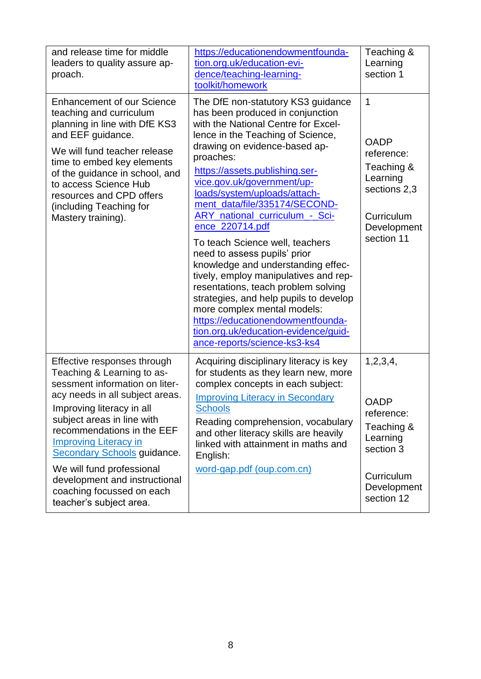| and release time for middle<br>leaders to quality assure ap-<br>proach.                                                                                                                                                                                                                                                                                                                                             | https://educationendowmentfounda-<br>tion.org.uk/education-evi-<br>dence/teaching-learning-<br>toolkit/homework                                                                                                                                                                                                                                                                                                                                                                                                                                                                                                                                                                                                                                                              | Teaching &<br>Learning<br>section 1                                                                                           |
|---------------------------------------------------------------------------------------------------------------------------------------------------------------------------------------------------------------------------------------------------------------------------------------------------------------------------------------------------------------------------------------------------------------------|------------------------------------------------------------------------------------------------------------------------------------------------------------------------------------------------------------------------------------------------------------------------------------------------------------------------------------------------------------------------------------------------------------------------------------------------------------------------------------------------------------------------------------------------------------------------------------------------------------------------------------------------------------------------------------------------------------------------------------------------------------------------------|-------------------------------------------------------------------------------------------------------------------------------|
| <b>Enhancement of our Science</b><br>teaching and curriculum<br>planning in line with DfE KS3<br>and EEF guidance.<br>We will fund teacher release<br>time to embed key elements<br>of the guidance in school, and<br>to access Science Hub<br>resources and CPD offers<br>(including Teaching for<br>Mastery training).                                                                                            | The DfE non-statutory KS3 guidance<br>has been produced in conjunction<br>with the National Centre for Excel-<br>lence in the Teaching of Science,<br>drawing on evidence-based ap-<br>proaches:<br>https://assets.publishing.ser-<br>vice.gov.uk/government/up-<br>loads/system/uploads/attach-<br>ment_data/file/335174/SECOND-<br><b>ARY</b> national curriculum - Sci-<br>ence_220714.pdf<br>To teach Science well, teachers<br>need to assess pupils' prior<br>knowledge and understanding effec-<br>tively, employ manipulatives and rep-<br>resentations, teach problem solving<br>strategies, and help pupils to develop<br>more complex mental models:<br>https://educationendowmentfounda-<br>tion.org.uk/education-evidence/guid-<br>ance-reports/science-ks3-ks4 | $\mathbf 1$<br><b>OADP</b><br>reference:<br>Teaching &<br>Learning<br>sections 2,3<br>Curriculum<br>Development<br>section 11 |
| Effective responses through<br>Teaching & Learning to as-<br>sessment information on liter-<br>acy needs in all subject areas.<br>Improving literacy in all<br>subject areas in line with<br>recommendations in the EEF<br><b>Improving Literacy in</b><br><b>Secondary Schools guidance.</b><br>We will fund professional<br>development and instructional<br>coaching focussed on each<br>teacher's subject area. | Acquiring disciplinary literacy is key<br>for students as they learn new, more<br>complex concepts in each subject:<br><b>Improving Literacy in Secondary</b><br><b>Schools</b><br>Reading comprehension, vocabulary<br>and other literacy skills are heavily<br>linked with attainment in maths and<br>English:<br>word-gap.pdf (oup.com.cn)                                                                                                                                                                                                                                                                                                                                                                                                                                | 1,2,3,4,<br><b>OADP</b><br>reference:<br>Teaching &<br>Learning<br>section 3<br>Curriculum<br>Development<br>section 12       |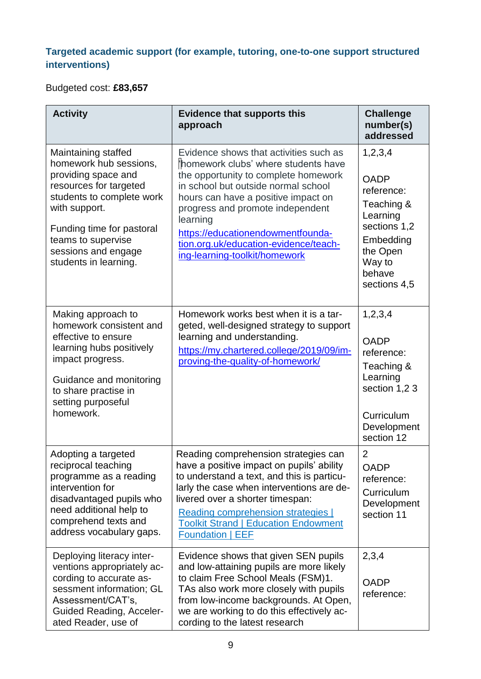## **Targeted academic support (for example, tutoring, one-to-one support structured interventions)**

## Budgeted cost: **£83,657**

| <b>Activity</b>                                                                                                                                                                                                                                 | <b>Evidence that supports this</b><br>approach                                                                                                                                                                                                                                                                                                                     | <b>Challenge</b><br>number(s)<br>addressed                                                                                                  |
|-------------------------------------------------------------------------------------------------------------------------------------------------------------------------------------------------------------------------------------------------|--------------------------------------------------------------------------------------------------------------------------------------------------------------------------------------------------------------------------------------------------------------------------------------------------------------------------------------------------------------------|---------------------------------------------------------------------------------------------------------------------------------------------|
| Maintaining staffed<br>homework hub sessions,<br>providing space and<br>resources for targeted<br>students to complete work<br>with support.<br>Funding time for pastoral<br>teams to supervise<br>sessions and engage<br>students in learning. | Evidence shows that activities such as<br>homework clubs' where students have<br>the opportunity to complete homework<br>in school but outside normal school<br>hours can have a positive impact on<br>progress and promote independent<br>learning<br>https://educationendowmentfounda-<br>tion.org.uk/education-evidence/teach-<br>ing-learning-toolkit/homework | 1,2,3,4<br><b>OADP</b><br>reference:<br>Teaching &<br>Learning<br>sections 1,2<br>Embedding<br>the Open<br>Way to<br>behave<br>sections 4,5 |
| Making approach to<br>homework consistent and<br>effective to ensure<br>learning hubs positively<br>impact progress.<br>Guidance and monitoring<br>to share practise in<br>setting purposeful<br>homework.                                      | Homework works best when it is a tar-<br>geted, well-designed strategy to support<br>learning and understanding.<br>https://my.chartered.college/2019/09/im-<br>proving-the-quality-of-homework/                                                                                                                                                                   | 1,2,3,4<br><b>OADP</b><br>reference:<br>Teaching &<br>Learning<br>section 1,23<br>Curriculum<br>Development<br>section 12                   |
| Adopting a targeted<br>reciprocal teaching<br>programme as a reading<br>intervention for<br>disadvantaged pupils who<br>need additional help to<br>comprehend texts and<br>address vocabulary gaps.                                             | Reading comprehension strategies can<br>have a positive impact on pupils' ability<br>to understand a text, and this is particu-<br>larly the case when interventions are de-<br>livered over a shorter timespan:<br>Reading comprehension strategies  <br><b>Toolkit Strand   Education Endowment</b><br><b>Foundation   EEF</b>                                   | $\overline{2}$<br><b>OADP</b><br>reference:<br>Curriculum<br>Development<br>section 11                                                      |
| Deploying literacy inter-<br>ventions appropriately ac-<br>cording to accurate as-<br>sessment information; GL<br>Assessment/CAT's,<br><b>Guided Reading, Acceler-</b><br>ated Reader, use of                                                   | Evidence shows that given SEN pupils<br>and low-attaining pupils are more likely<br>to claim Free School Meals (FSM)1.<br>TAs also work more closely with pupils<br>from low-income backgrounds. At Open,<br>we are working to do this effectively ac-<br>cording to the latest research                                                                           | 2,3,4<br><b>OADP</b><br>reference:                                                                                                          |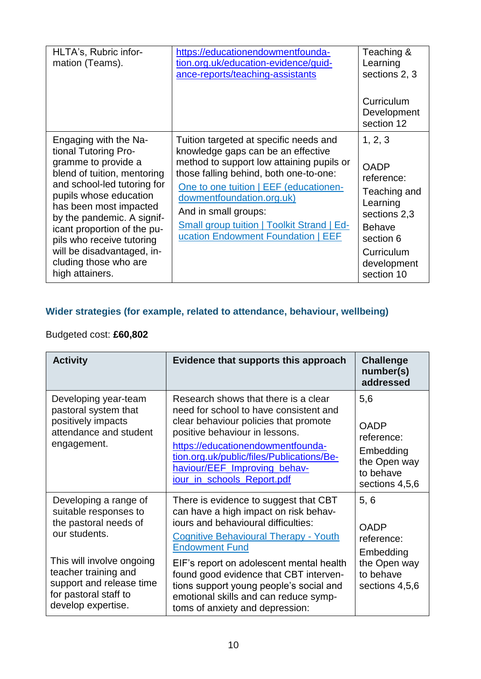| HLTA's, Rubric infor-<br>mation (Teams).                                                                                                                                                                                                                                                                                                                   | https://educationendowmentfounda-<br>tion.org.uk/education-evidence/guid-<br>ance-reports/teaching-assistants                                                                                                                                                                                                                                                 | Teaching &<br>Learning<br>sections 2, 3<br>Curriculum<br>Development                                                                                      |
|------------------------------------------------------------------------------------------------------------------------------------------------------------------------------------------------------------------------------------------------------------------------------------------------------------------------------------------------------------|---------------------------------------------------------------------------------------------------------------------------------------------------------------------------------------------------------------------------------------------------------------------------------------------------------------------------------------------------------------|-----------------------------------------------------------------------------------------------------------------------------------------------------------|
|                                                                                                                                                                                                                                                                                                                                                            |                                                                                                                                                                                                                                                                                                                                                               | section 12                                                                                                                                                |
| Engaging with the Na-<br>tional Tutoring Pro-<br>gramme to provide a<br>blend of tuition, mentoring<br>and school-led tutoring for<br>pupils whose education<br>has been most impacted<br>by the pandemic. A signif-<br>icant proportion of the pu-<br>pils who receive tutoring<br>will be disadvantaged, in-<br>cluding those who are<br>high attainers. | Tuition targeted at specific needs and<br>knowledge gaps can be an effective<br>method to support low attaining pupils or<br>those falling behind, both one-to-one:<br>One to one tuition   EEF (educationen-<br>dowmentfoundation.org.uk)<br>And in small groups:<br><b>Small group tuition   Toolkit Strand   Ed-</b><br>ucation Endowment Foundation   EEF | 1, 2, 3<br><b>OADP</b><br>reference:<br>Teaching and<br>Learning<br>sections 2,3<br><b>Behave</b><br>section 6<br>Curriculum<br>development<br>section 10 |

## **Wider strategies (for example, related to attendance, behaviour, wellbeing)**

## Budgeted cost: **£60,802**

| <b>Activity</b>                                                                                                                                                                                                          | Evidence that supports this approach                                                                                                                                                                                                                                                                                                                                                                        | <b>Challenge</b><br>number(s)<br>addressed                                                    |
|--------------------------------------------------------------------------------------------------------------------------------------------------------------------------------------------------------------------------|-------------------------------------------------------------------------------------------------------------------------------------------------------------------------------------------------------------------------------------------------------------------------------------------------------------------------------------------------------------------------------------------------------------|-----------------------------------------------------------------------------------------------|
| Developing year-team<br>pastoral system that<br>positively impacts<br>attendance and student<br>engagement.                                                                                                              | Research shows that there is a clear<br>need for school to have consistent and<br>clear behaviour policies that promote<br>positive behaviour in lessons.<br>https://educationendowmentfounda-<br>tion.org.uk/public/files/Publications/Be-<br>haviour/EEF_Improving_behav-<br>jour in schools Report.pdf                                                                                                   | 5,6<br><b>OADP</b><br>reference:<br>Embedding<br>the Open way<br>to behave<br>sections 4,5,6  |
| Developing a range of<br>suitable responses to<br>the pastoral needs of<br>our students.<br>This will involve ongoing<br>teacher training and<br>support and release time<br>for pastoral staff to<br>develop expertise. | There is evidence to suggest that CBT<br>can have a high impact on risk behav-<br>iours and behavioural difficulties:<br><b>Cognitive Behavioural Therapy - Youth</b><br><b>Endowment Fund</b><br>EIF's report on adolescent mental health<br>found good evidence that CBT interven-<br>tions support young people's social and<br>emotional skills and can reduce symp-<br>toms of anxiety and depression: | 5, 6<br><b>OADP</b><br>reference:<br>Embedding<br>the Open way<br>to behave<br>sections 4,5,6 |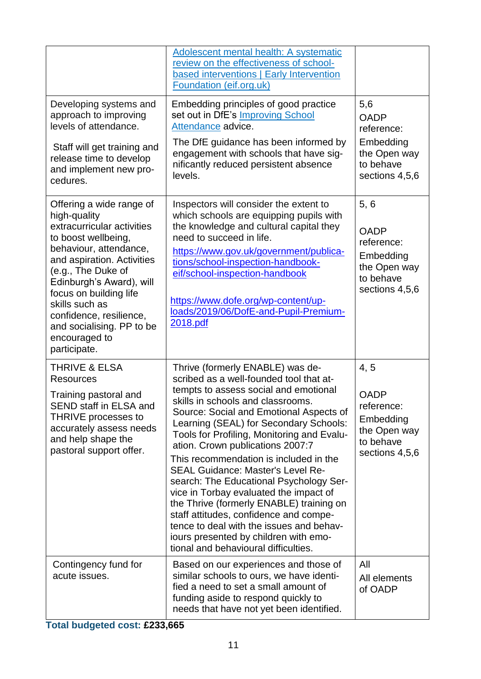|                                                                                                                                                                                                                                                                                                                                              | Adolescent mental health: A systematic<br>review on the effectiveness of school-<br>based interventions   Early Intervention<br>Foundation (eif.org.uk)                                                                                                                                                                                                                                                                                                                                                                                                                                                                                                                                                                        |                                                                                               |
|----------------------------------------------------------------------------------------------------------------------------------------------------------------------------------------------------------------------------------------------------------------------------------------------------------------------------------------------|--------------------------------------------------------------------------------------------------------------------------------------------------------------------------------------------------------------------------------------------------------------------------------------------------------------------------------------------------------------------------------------------------------------------------------------------------------------------------------------------------------------------------------------------------------------------------------------------------------------------------------------------------------------------------------------------------------------------------------|-----------------------------------------------------------------------------------------------|
| Developing systems and<br>approach to improving<br>levels of attendance.<br>Staff will get training and<br>release time to develop<br>and implement new pro-<br>cedures.                                                                                                                                                                     | Embedding principles of good practice<br>set out in DfE's Improving School<br>Attendance advice.<br>The DfE guidance has been informed by<br>engagement with schools that have sig-<br>nificantly reduced persistent absence<br>levels.                                                                                                                                                                                                                                                                                                                                                                                                                                                                                        | 5,6<br><b>OADP</b><br>reference:<br>Embedding<br>the Open way<br>to behave<br>sections 4,5,6  |
| Offering a wide range of<br>high-quality<br>extracurricular activities<br>to boost wellbeing,<br>behaviour, attendance,<br>and aspiration. Activities<br>(e.g., The Duke of<br>Edinburgh's Award), will<br>focus on building life<br>skills such as<br>confidence, resilience,<br>and socialising. PP to be<br>encouraged to<br>participate. | Inspectors will consider the extent to<br>which schools are equipping pupils with<br>the knowledge and cultural capital they<br>need to succeed in life.<br>https://www.gov.uk/government/publica-<br>tions/school-inspection-handbook-<br>eif/school-inspection-handbook<br>https://www.dofe.org/wp-content/up-<br>loads/2019/06/DofE-and-Pupil-Premium-<br>2018.pdf                                                                                                                                                                                                                                                                                                                                                          | 5, 6<br><b>OADP</b><br>reference:<br>Embedding<br>the Open way<br>to behave<br>sections 4,5,6 |
| <b>THRIVE &amp; ELSA</b><br><b>Resources</b><br>Training pastoral and<br>SEND staff in ELSA and<br>THRIVE processes to<br>accurately assess needs<br>and help shape the<br>pastoral support offer.                                                                                                                                           | Thrive (formerly ENABLE) was de-<br>scribed as a well-founded tool that at-<br>tempts to assess social and emotional<br>skills in schools and classrooms.<br>Source: Social and Emotional Aspects of<br>Learning (SEAL) for Secondary Schools:<br>Tools for Profiling, Monitoring and Evalu-<br>ation. Crown publications 2007:7<br>This recommendation is included in the<br><b>SEAL Guidance: Master's Level Re-</b><br>search: The Educational Psychology Ser-<br>vice in Torbay evaluated the impact of<br>the Thrive (formerly ENABLE) training on<br>staff attitudes, confidence and compe-<br>tence to deal with the issues and behav-<br>iours presented by children with emo-<br>tional and behavioural difficulties. | 4, 5<br><b>OADP</b><br>reference:<br>Embedding<br>the Open way<br>to behave<br>sections 4,5,6 |
| Contingency fund for<br>acute issues.                                                                                                                                                                                                                                                                                                        | Based on our experiences and those of<br>similar schools to ours, we have identi-<br>fied a need to set a small amount of<br>funding aside to respond quickly to<br>needs that have not yet been identified.                                                                                                                                                                                                                                                                                                                                                                                                                                                                                                                   | All<br>All elements<br>of OADP                                                                |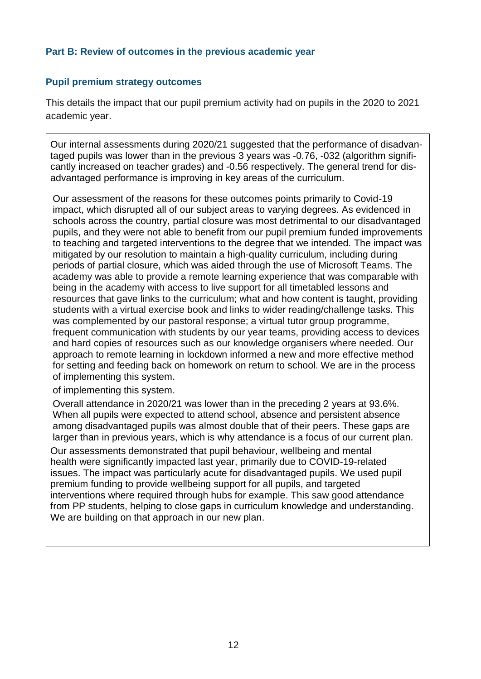### **Part B: Review of outcomes in the previous academic year**

#### **Pupil premium strategy outcomes**

This details the impact that our pupil premium activity had on pupils in the 2020 to 2021 academic year.

Our internal assessments during 2020/21 suggested that the performance of disadvantaged pupils was lower than in the previous 3 years was -0.76, -032 (algorithm significantly increased on teacher grades) and -0.56 respectively. The general trend for disadvantaged performance is improving in key areas of the curriculum.

Our assessment of the reasons for these outcomes points primarily to Covid-19 impact, which disrupted all of our subject areas to varying degrees. As evidenced in schools across the country, partial closure was most detrimental to our disadvantaged pupils, and they were not able to benefit from our pupil premium funded improvements to teaching and targeted interventions to the degree that we intended. The impact was mitigated by our resolution to maintain a high-quality curriculum, including during periods of partial closure, which was aided through the use of Microsoft Teams. The academy was able to provide a remote learning experience that was comparable with being in the academy with access to live support for all timetabled lessons and resources that gave links to the curriculum; what and how content is taught, providing students with a virtual exercise book and links to wider reading/challenge tasks. This was complemented by our pastoral response; a virtual tutor group programme, frequent communication with students by our year teams, providing access to devices and hard copies of resources such as our knowledge organisers where needed. Our approach to remote learning in lockdown informed a new and more effective method for setting and feeding back on homework on return to school. We are in the process of implementing this system.

of implementing this system.

Overall attendance in 2020/21 was lower than in the preceding 2 years at 93.6%. When all pupils were expected to attend school, absence and persistent absence among disadvantaged pupils was almost double that of their peers. These gaps are larger than in previous years, which is why attendance is a focus of our current plan. Our assessments demonstrated that pupil behaviour, wellbeing and mental health were significantly impacted last year, primarily due to COVID-19-related issues. The impact was particularly acute for disadvantaged pupils. We used pupil premium funding to provide wellbeing support for all pupils, and targeted interventions where required through hubs for example. This saw good attendance from PP students, helping to close gaps in curriculum knowledge and understanding. We are building on that approach in our new plan.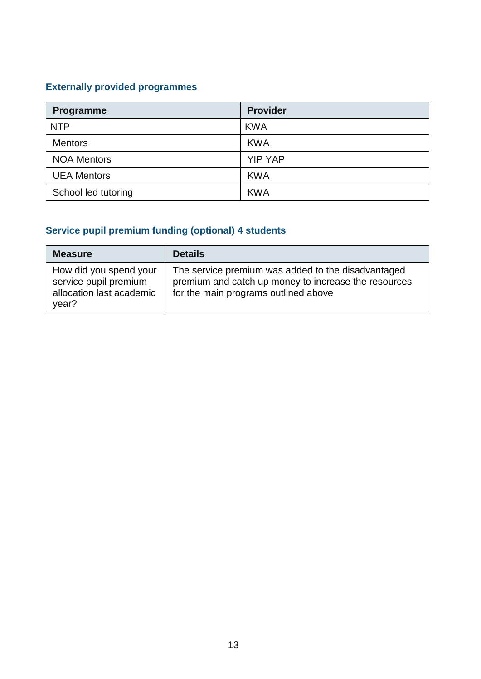# **Externally provided programmes**

| Programme           | <b>Provider</b> |
|---------------------|-----------------|
| <b>NTP</b>          | <b>KWA</b>      |
| <b>Mentors</b>      | <b>KWA</b>      |
| <b>NOA Mentors</b>  | <b>YIP YAP</b>  |
| <b>UEA Mentors</b>  | <b>KWA</b>      |
| School led tutoring | <b>KWA</b>      |

# **Service pupil premium funding (optional) 4 students**

| <b>Measure</b>                                                                       | <b>Details</b>                                                                                                                                     |
|--------------------------------------------------------------------------------------|----------------------------------------------------------------------------------------------------------------------------------------------------|
| How did you spend your<br>service pupil premium<br>allocation last academic<br>year? | The service premium was added to the disadvantaged<br>premium and catch up money to increase the resources<br>for the main programs outlined above |